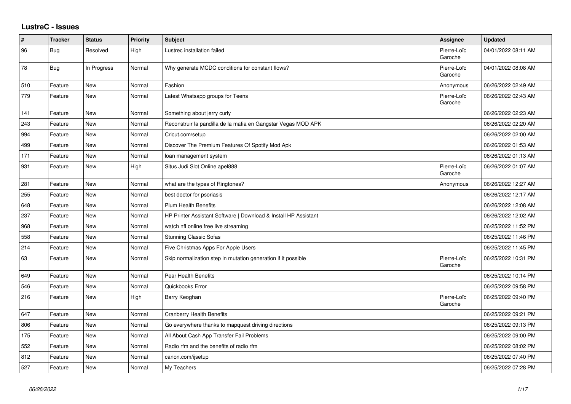## **LustreC - Issues**

| $\pmb{\#}$ | <b>Tracker</b> | <b>Status</b> | <b>Priority</b> | <b>Subject</b>                                                  | <b>Assignee</b>        | <b>Updated</b>      |
|------------|----------------|---------------|-----------------|-----------------------------------------------------------------|------------------------|---------------------|
| 96         | Bug            | Resolved      | High            | Lustrec installation failed                                     | Pierre-Loïc<br>Garoche | 04/01/2022 08:11 AM |
| 78         | Bug            | In Progress   | Normal          | Why generate MCDC conditions for constant flows?                | Pierre-Loïc<br>Garoche | 04/01/2022 08:08 AM |
| 510        | Feature        | <b>New</b>    | Normal          | Fashion                                                         | Anonymous              | 06/26/2022 02:49 AM |
| 779        | Feature        | <b>New</b>    | Normal          | Latest Whatsapp groups for Teens                                | Pierre-Loïc<br>Garoche | 06/26/2022 02:43 AM |
| 141        | Feature        | New           | Normal          | Something about jerry curly                                     |                        | 06/26/2022 02:23 AM |
| 243        | Feature        | New           | Normal          | Reconstruir la pandilla de la mafia en Gangstar Vegas MOD APK   |                        | 06/26/2022 02:20 AM |
| 994        | Feature        | New           | Normal          | Cricut.com/setup                                                |                        | 06/26/2022 02:00 AM |
| 499        | Feature        | <b>New</b>    | Normal          | Discover The Premium Features Of Spotify Mod Apk                |                        | 06/26/2022 01:53 AM |
| 171        | Feature        | <b>New</b>    | Normal          | loan management system                                          |                        | 06/26/2022 01:13 AM |
| 931        | Feature        | <b>New</b>    | High            | Situs Judi Slot Online apel888                                  | Pierre-Loïc<br>Garoche | 06/26/2022 01:07 AM |
| 281        | Feature        | <b>New</b>    | Normal          | what are the types of Ringtones?                                | Anonymous              | 06/26/2022 12:27 AM |
| 255        | Feature        | New           | Normal          | best doctor for psoriasis                                       |                        | 06/26/2022 12:17 AM |
| 648        | Feature        | <b>New</b>    | Normal          | <b>Plum Health Benefits</b>                                     |                        | 06/26/2022 12:08 AM |
| 237        | Feature        | New           | Normal          | HP Printer Assistant Software   Download & Install HP Assistant |                        | 06/26/2022 12:02 AM |
| 968        | Feature        | <b>New</b>    | Normal          | watch nfl online free live streaming                            |                        | 06/25/2022 11:52 PM |
| 558        | Feature        | <b>New</b>    | Normal          | <b>Stunning Classic Sofas</b>                                   |                        | 06/25/2022 11:46 PM |
| 214        | Feature        | <b>New</b>    | Normal          | Five Christmas Apps For Apple Users                             |                        | 06/25/2022 11:45 PM |
| 63         | Feature        | <b>New</b>    | Normal          | Skip normalization step in mutation generation if it possible   | Pierre-Loïc<br>Garoche | 06/25/2022 10:31 PM |
| 649        | Feature        | New           | Normal          | <b>Pear Health Benefits</b>                                     |                        | 06/25/2022 10:14 PM |
| 546        | Feature        | <b>New</b>    | Normal          | Quickbooks Error                                                |                        | 06/25/2022 09:58 PM |
| 216        | Feature        | New           | High            | Barry Keoghan                                                   | Pierre-Loïc<br>Garoche | 06/25/2022 09:40 PM |
| 647        | Feature        | <b>New</b>    | Normal          | <b>Cranberry Health Benefits</b>                                |                        | 06/25/2022 09:21 PM |
| 806        | Feature        | <b>New</b>    | Normal          | Go everywhere thanks to mapquest driving directions             |                        | 06/25/2022 09:13 PM |
| 175        | Feature        | New           | Normal          | All About Cash App Transfer Fail Problems                       |                        | 06/25/2022 09:00 PM |
| 552        | Feature        | New           | Normal          | Radio rfm and the benefits of radio rfm                         |                        | 06/25/2022 08:02 PM |
| 812        | Feature        | New           | Normal          | canon.com/ijsetup                                               |                        | 06/25/2022 07:40 PM |
| 527        | Feature        | New           | Normal          | My Teachers                                                     |                        | 06/25/2022 07:28 PM |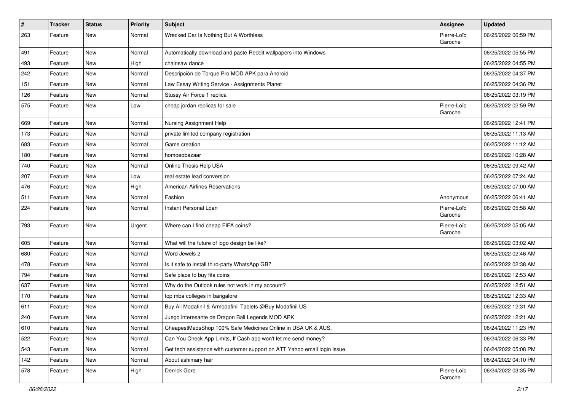| $\pmb{\#}$ | <b>Tracker</b> | <b>Status</b> | <b>Priority</b> | <b>Subject</b>                                                            | <b>Assignee</b>        | <b>Updated</b>      |
|------------|----------------|---------------|-----------------|---------------------------------------------------------------------------|------------------------|---------------------|
| 263        | Feature        | New           | Normal          | Wrecked Car Is Nothing But A Worthless                                    | Pierre-Loïc<br>Garoche | 06/25/2022 06:59 PM |
| 491        | Feature        | New           | Normal          | Automatically download and paste Reddit wallpapers into Windows           |                        | 06/25/2022 05:55 PM |
| 493        | Feature        | New           | High            | chainsaw dance                                                            |                        | 06/25/2022 04:55 PM |
| 242        | Feature        | <b>New</b>    | Normal          | Descripción de Torque Pro MOD APK para Android                            |                        | 06/25/2022 04:37 PM |
| 151        | Feature        | New           | Normal          | Law Essay Writing Service - Assignments Planet                            |                        | 06/25/2022 04:36 PM |
| 126        | Feature        | New           | Normal          | Stussy Air Force 1 replica                                                |                        | 06/25/2022 03:19 PM |
| 575        | Feature        | New           | Low             | cheap jordan replicas for sale                                            | Pierre-Loïc<br>Garoche | 06/25/2022 02:59 PM |
| 669        | Feature        | <b>New</b>    | Normal          | Nursing Assignment Help                                                   |                        | 06/25/2022 12:41 PM |
| 173        | Feature        | New           | Normal          | private limited company registration                                      |                        | 06/25/2022 11:13 AM |
| 683        | Feature        | New           | Normal          | Game creation                                                             |                        | 06/25/2022 11:12 AM |
| 180        | Feature        | <b>New</b>    | Normal          | homoeobazaar                                                              |                        | 06/25/2022 10:28 AM |
| 740        | Feature        | <b>New</b>    | Normal          | Online Thesis Help USA                                                    |                        | 06/25/2022 09:42 AM |
| 207        | Feature        | <b>New</b>    | Low             | real estate lead conversion                                               |                        | 06/25/2022 07:24 AM |
| 476        | Feature        | New           | High            | <b>American Airlines Reservations</b>                                     |                        | 06/25/2022 07:00 AM |
| 511        | Feature        | New           | Normal          | Fashion                                                                   | Anonymous              | 06/25/2022 06:41 AM |
| 224        | Feature        | <b>New</b>    | Normal          | Instant Personal Loan                                                     | Pierre-Loïc<br>Garoche | 06/25/2022 05:58 AM |
| 793        | Feature        | <b>New</b>    | Urgent          | Where can I find cheap FIFA coins?                                        | Pierre-Loïc<br>Garoche | 06/25/2022 05:05 AM |
| 605        | Feature        | <b>New</b>    | Normal          | What will the future of logo design be like?                              |                        | 06/25/2022 03:02 AM |
| 680        | Feature        | <b>New</b>    | Normal          | Word Jewels 2                                                             |                        | 06/25/2022 02:46 AM |
| 478        | Feature        | New           | Normal          | Is it safe to install third-party WhatsApp GB?                            |                        | 06/25/2022 02:38 AM |
| 794        | Feature        | New           | Normal          | Safe place to buy fifa coins                                              |                        | 06/25/2022 12:53 AM |
| 637        | Feature        | <b>New</b>    | Normal          | Why do the Outlook rules not work in my account?                          |                        | 06/25/2022 12:51 AM |
| 170        | Feature        | New           | Normal          | top mba colleges in bangalore                                             |                        | 06/25/2022 12:33 AM |
| 611        | Feature        | New           | Normal          | Buy All Modafinil & Armodafinil Tablets @Buy Modafinil US                 |                        | 06/25/2022 12:31 AM |
| 240        | Feature        | New           | Normal          | Juego interesante de Dragon Ball Legends MOD APK                          |                        | 06/25/2022 12:21 AM |
| 610        | Feature        | New           | Normal          | CheapestMedsShop 100% Safe Medicines Online in USA UK & AUS.              |                        | 06/24/2022 11:23 PM |
| 522        | Feature        | New           | Normal          | Can You Check App Limits, If Cash app won't let me send money?            |                        | 06/24/2022 06:33 PM |
| 543        | Feature        | New           | Normal          | Get tech assistance with customer support on ATT Yahoo email login issue. |                        | 06/24/2022 05:08 PM |
| 142        | Feature        | New           | Normal          | About ashimary hair                                                       |                        | 06/24/2022 04:10 PM |
| 578        | Feature        | New           | High            | Derrick Gore                                                              | Pierre-Loïc<br>Garoche | 06/24/2022 03:35 PM |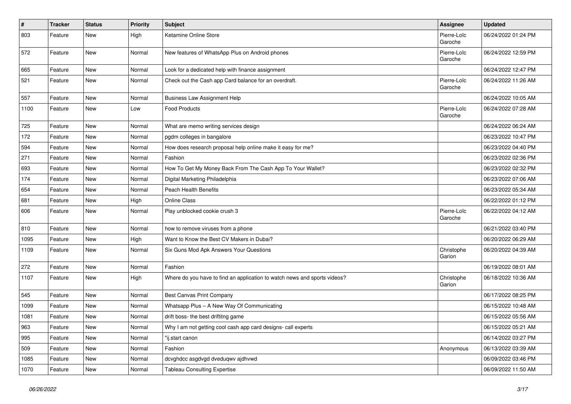| $\vert$ # | <b>Tracker</b> | <b>Status</b> | <b>Priority</b> | <b>Subject</b>                                                            | Assignee               | <b>Updated</b>      |
|-----------|----------------|---------------|-----------------|---------------------------------------------------------------------------|------------------------|---------------------|
| 803       | Feature        | New           | High            | Ketamine Online Store                                                     | Pierre-Loïc<br>Garoche | 06/24/2022 01:24 PM |
| 572       | Feature        | New           | Normal          | New features of WhatsApp Plus on Android phones                           | Pierre-Loïc<br>Garoche | 06/24/2022 12:59 PM |
| 665       | Feature        | New           | Normal          | Look for a dedicated help with finance assignment                         |                        | 06/24/2022 12:47 PM |
| 521       | Feature        | New           | Normal          | Check out the Cash app Card balance for an overdraft.                     | Pierre-Loïc<br>Garoche | 06/24/2022 11:26 AM |
| 557       | Feature        | New           | Normal          | <b>Business Law Assignment Help</b>                                       |                        | 06/24/2022 10:05 AM |
| 1100      | Feature        | New           | Low             | <b>Food Products</b>                                                      | Pierre-Loïc<br>Garoche | 06/24/2022 07:28 AM |
| 725       | Feature        | New           | Normal          | What are memo writing services design                                     |                        | 06/24/2022 06:24 AM |
| 172       | Feature        | New           | Normal          | pgdm colleges in bangalore                                                |                        | 06/23/2022 10:47 PM |
| 594       | Feature        | New           | Normal          | How does research proposal help online make it easy for me?               |                        | 06/23/2022 04:40 PM |
| 271       | Feature        | New           | Normal          | Fashion                                                                   |                        | 06/23/2022 02:36 PM |
| 693       | Feature        | New           | Normal          | How To Get My Money Back From The Cash App To Your Wallet?                |                        | 06/23/2022 02:32 PM |
| 174       | Feature        | New           | Normal          | Digital Marketing Philadelphia                                            |                        | 06/23/2022 07:06 AM |
| 654       | Feature        | <b>New</b>    | Normal          | <b>Peach Health Benefits</b>                                              |                        | 06/23/2022 05:34 AM |
| 681       | Feature        | New           | High            | Online Class                                                              |                        | 06/22/2022 01:12 PM |
| 606       | Feature        | New           | Normal          | Play unblocked cookie crush 3                                             | Pierre-Loïc<br>Garoche | 06/22/2022 04:12 AM |
| 810       | Feature        | New           | Normal          | how to remove viruses from a phone                                        |                        | 06/21/2022 03:40 PM |
| 1095      | Feature        | New           | High            | Want to Know the Best CV Makers in Dubai?                                 |                        | 06/20/2022 06:29 AM |
| 1109      | Feature        | New           | Normal          | Six Guns Mod Apk Answers Your Questions                                   | Christophe<br>Garion   | 06/20/2022 04:39 AM |
| 272       | Feature        | <b>New</b>    | Normal          | Fashion                                                                   |                        | 06/19/2022 08:01 AM |
| 1107      | Feature        | New           | High            | Where do you have to find an application to watch news and sports videos? | Christophe<br>Garion   | 06/18/2022 10:36 AM |
| 545       | Feature        | <b>New</b>    | Normal          | Best Canvas Print Company                                                 |                        | 06/17/2022 08:25 PM |
| 1099      | Feature        | <b>New</b>    | Normal          | Whatsapp Plus - A New Way Of Communicating                                |                        | 06/15/2022 10:48 AM |
| 1081      | Feature        | New           | Normal          | drift boss- the best driftitng game                                       |                        | 06/15/2022 05:56 AM |
| 963       | Feature        | New           | Normal          | Why I am not getting cool cash app card designs- call experts             |                        | 06/15/2022 05:21 AM |
| 995       | Feature        | New           | Normal          | "ij.start canon                                                           |                        | 06/14/2022 03:27 PM |
| 509       | Feature        | New           | Normal          | Fashion                                                                   | Anonymous              | 06/13/2022 03:39 AM |
| 1085      | Feature        | New           | Normal          | dcvghdcc asgdvgd dveduqwv ajdhvwd                                         |                        | 06/09/2022 03:46 PM |
| 1070      | Feature        | New           | Normal          | <b>Tableau Consulting Expertise</b>                                       |                        | 06/09/2022 11:50 AM |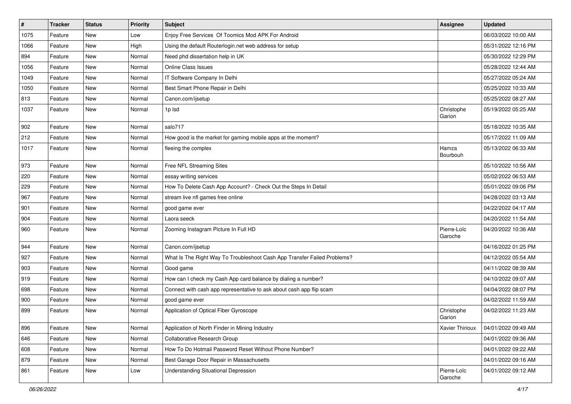| $\vert$ # | <b>Tracker</b> | <b>Status</b> | <b>Priority</b> | Subject                                                                  | Assignee               | <b>Updated</b>      |
|-----------|----------------|---------------|-----------------|--------------------------------------------------------------------------|------------------------|---------------------|
| 1075      | Feature        | New           | Low             | Enjoy Free Services Of Toomics Mod APK For Android                       |                        | 06/03/2022 10:00 AM |
| 1066      | Feature        | <b>New</b>    | High            | Using the default Routerlogin.net web address for setup                  |                        | 05/31/2022 12:16 PM |
| 894       | Feature        | New           | Normal          | Need phd dissertation help in UK                                         |                        | 05/30/2022 12:29 PM |
| 1056      | Feature        | New           | Normal          | Online Class Issues                                                      |                        | 05/28/2022 12:44 AM |
| 1049      | Feature        | New           | Normal          | IT Software Company In Delhi                                             |                        | 05/27/2022 05:24 AM |
| 1050      | Feature        | New           | Normal          | Best Smart Phone Repair in Delhi                                         |                        | 05/25/2022 10:33 AM |
| 813       | Feature        | <b>New</b>    | Normal          | Canon.com/ijsetup                                                        |                        | 05/25/2022 08:27 AM |
| 1037      | Feature        | New           | Normal          | 1p lsd                                                                   | Christophe<br>Garion   | 05/19/2022 05:25 AM |
| 902       | Feature        | New           | Normal          | salo717                                                                  |                        | 05/18/2022 10:35 AM |
| 212       | Feature        | New           | Normal          | How good is the market for gaming mobile apps at the moment?             |                        | 05/17/2022 11:09 AM |
| 1017      | Feature        | New           | Normal          | fleeing the complex                                                      | Hamza<br>Bourbouh      | 05/13/2022 06:33 AM |
| 973       | Feature        | New           | Normal          | Free NFL Streaming Sites                                                 |                        | 05/10/2022 10:56 AM |
| 220       | Feature        | <b>New</b>    | Normal          | essay writing services                                                   |                        | 05/02/2022 06:53 AM |
| 229       | Feature        | New           | Normal          | How To Delete Cash App Account? - Check Out the Steps In Detail          |                        | 05/01/2022 09:06 PM |
| 967       | Feature        | <b>New</b>    | Normal          | stream live nfl games free online                                        |                        | 04/28/2022 03:13 AM |
| 901       | Feature        | New           | Normal          | good game ever                                                           |                        | 04/22/2022 04:17 AM |
| 904       | Feature        | <b>New</b>    | Normal          | Laora seeck                                                              |                        | 04/20/2022 11:54 AM |
| 960       | Feature        | New           | Normal          | Zooming Instagram Picture In Full HD                                     | Pierre-Loïc<br>Garoche | 04/20/2022 10:36 AM |
| 944       | Feature        | New           | Normal          | Canon.com/ijsetup                                                        |                        | 04/16/2022 01:25 PM |
| 927       | Feature        | <b>New</b>    | Normal          | What Is The Right Way To Troubleshoot Cash App Transfer Failed Problems? |                        | 04/12/2022 05:54 AM |
| 903       | Feature        | New           | Normal          | Good game                                                                |                        | 04/11/2022 08:39 AM |
| 919       | Feature        | New           | Normal          | How can I check my Cash App card balance by dialing a number?            |                        | 04/10/2022 09:07 AM |
| 698       | Feature        | New           | Normal          | Connect with cash app representative to ask about cash app flip scam     |                        | 04/04/2022 08:07 PM |
| 900       | Feature        | New           | Normal          | good game ever                                                           |                        | 04/02/2022 11:59 AM |
| 899       | Feature        | New           | Normal          | Application of Optical Fiber Gyroscope                                   | Christophe<br>Garion   | 04/02/2022 11:23 AM |
| 896       | Feature        | New           | Normal          | Application of North Finder in Mining Industry                           | Xavier Thirioux        | 04/01/2022 09:49 AM |
| 646       | Feature        | New           | Normal          | Collaborative Research Group                                             |                        | 04/01/2022 09:36 AM |
| 608       | Feature        | New           | Normal          | How To Do Hotmail Password Reset Without Phone Number?                   |                        | 04/01/2022 09:22 AM |
| 879       | Feature        | New           | Normal          | Best Garage Door Repair in Massachusetts                                 |                        | 04/01/2022 09:16 AM |
| 861       | Feature        | New           | Low             | <b>Understanding Situational Depression</b>                              | Pierre-Loïc<br>Garoche | 04/01/2022 09:12 AM |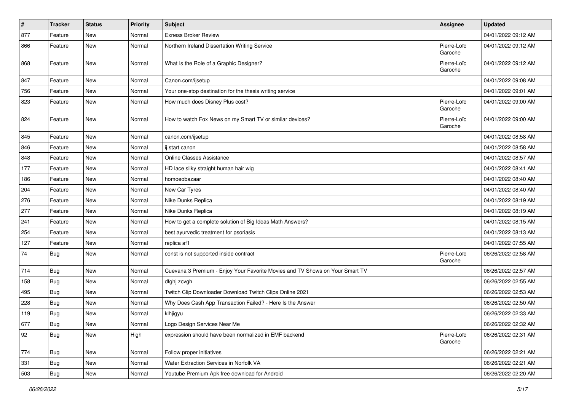| #   | <b>Tracker</b> | <b>Status</b> | <b>Priority</b> | <b>Subject</b>                                                               | <b>Assignee</b>        | <b>Updated</b>      |
|-----|----------------|---------------|-----------------|------------------------------------------------------------------------------|------------------------|---------------------|
| 877 | Feature        | New           | Normal          | <b>Exness Broker Review</b>                                                  |                        | 04/01/2022 09:12 AM |
| 866 | Feature        | New           | Normal          | Northern Ireland Dissertation Writing Service                                | Pierre-Loïc<br>Garoche | 04/01/2022 09:12 AM |
| 868 | Feature        | New           | Normal          | What Is the Role of a Graphic Designer?                                      | Pierre-Loïc<br>Garoche | 04/01/2022 09:12 AM |
| 847 | Feature        | New           | Normal          | Canon.com/ijsetup                                                            |                        | 04/01/2022 09:08 AM |
| 756 | Feature        | New           | Normal          | Your one-stop destination for the thesis writing service                     |                        | 04/01/2022 09:01 AM |
| 823 | Feature        | New           | Normal          | How much does Disney Plus cost?                                              | Pierre-Loïc<br>Garoche | 04/01/2022 09:00 AM |
| 824 | Feature        | <b>New</b>    | Normal          | How to watch Fox News on my Smart TV or similar devices?                     | Pierre-Loïc<br>Garoche | 04/01/2022 09:00 AM |
| 845 | Feature        | <b>New</b>    | Normal          | canon.com/ijsetup                                                            |                        | 04/01/2022 08:58 AM |
| 846 | Feature        | New           | Normal          | ij.start canon                                                               |                        | 04/01/2022 08:58 AM |
| 848 | Feature        | New           | Normal          | Online Classes Assistance                                                    |                        | 04/01/2022 08:57 AM |
| 177 | Feature        | New           | Normal          | HD lace silky straight human hair wig                                        |                        | 04/01/2022 08:41 AM |
| 186 | Feature        | New           | Normal          | homoeobazaar                                                                 |                        | 04/01/2022 08:40 AM |
| 204 | Feature        | New           | Normal          | New Car Tyres                                                                |                        | 04/01/2022 08:40 AM |
| 276 | Feature        | New           | Normal          | Nike Dunks Replica                                                           |                        | 04/01/2022 08:19 AM |
| 277 | Feature        | New           | Normal          | Nike Dunks Replica                                                           |                        | 04/01/2022 08:19 AM |
| 241 | Feature        | New           | Normal          | How to get a complete solution of Big Ideas Math Answers?                    |                        | 04/01/2022 08:15 AM |
| 254 | Feature        | New           | Normal          | best ayurvedic treatment for psoriasis                                       |                        | 04/01/2022 08:13 AM |
| 127 | Feature        | New           | Normal          | replica af1                                                                  |                        | 04/01/2022 07:55 AM |
| 74  | Bug            | New           | Normal          | const is not supported inside contract                                       | Pierre-Loïc<br>Garoche | 06/26/2022 02:58 AM |
| 714 | Bug            | <b>New</b>    | Normal          | Cuevana 3 Premium - Enjoy Your Favorite Movies and TV Shows on Your Smart TV |                        | 06/26/2022 02:57 AM |
| 158 | Bug            | New           | Normal          | dfghj zcvgh                                                                  |                        | 06/26/2022 02:55 AM |
| 495 | <b>Bug</b>     | <b>New</b>    | Normal          | Twitch Clip Downloader Download Twitch Clips Online 2021                     |                        | 06/26/2022 02:53 AM |
| 228 | Bug            | New           | Normal          | Why Does Cash App Transaction Failed? - Here Is the Answer                   |                        | 06/26/2022 02:50 AM |
| 119 | Bug            | New           | Normal          | klhjigyu                                                                     |                        | 06/26/2022 02:33 AM |
| 677 | Bug            | New           | Normal          | Logo Design Services Near Me                                                 |                        | 06/26/2022 02:32 AM |
| 92  | <b>Bug</b>     | New           | High            | expression should have been normalized in EMF backend                        | Pierre-Loïc<br>Garoche | 06/26/2022 02:31 AM |
| 774 | Bug            | New           | Normal          | Follow proper initiatives                                                    |                        | 06/26/2022 02:21 AM |
| 331 | Bug            | New           | Normal          | Water Extraction Services in Norfolk VA                                      |                        | 06/26/2022 02:21 AM |
| 503 | Bug            | New           | Normal          | Youtube Premium Apk free download for Android                                |                        | 06/26/2022 02:20 AM |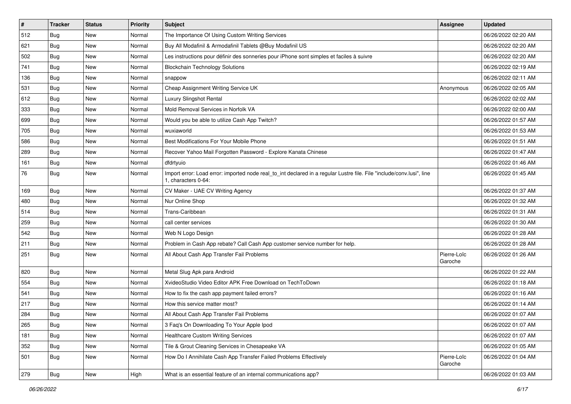| $\vert$ # | <b>Tracker</b> | <b>Status</b> | <b>Priority</b> | Subject                                                                                                                                      | Assignee               | <b>Updated</b>      |
|-----------|----------------|---------------|-----------------|----------------------------------------------------------------------------------------------------------------------------------------------|------------------------|---------------------|
| 512       | Bug            | New           | Normal          | The Importance Of Using Custom Writing Services                                                                                              |                        | 06/26/2022 02:20 AM |
| 621       | Bug            | <b>New</b>    | Normal          | Buy All Modafinil & Armodafinil Tablets @Buy Modafinil US                                                                                    |                        | 06/26/2022 02:20 AM |
| 502       | Bug            | New           | Normal          | Les instructions pour définir des sonneries pour iPhone sont simples et faciles à suivre                                                     |                        | 06/26/2022 02:20 AM |
| 741       | Bug            | <b>New</b>    | Normal          | <b>Blockchain Technology Solutions</b>                                                                                                       |                        | 06/26/2022 02:19 AM |
| 136       | Bug            | <b>New</b>    | Normal          | snappow                                                                                                                                      |                        | 06/26/2022 02:11 AM |
| 531       | Bug            | <b>New</b>    | Normal          | Cheap Assignment Writing Service UK                                                                                                          | Anonymous              | 06/26/2022 02:05 AM |
| 612       | Bug            | <b>New</b>    | Normal          | Luxury Slingshot Rental                                                                                                                      |                        | 06/26/2022 02:02 AM |
| 333       | Bug            | New           | Normal          | Mold Removal Services in Norfolk VA                                                                                                          |                        | 06/26/2022 02:00 AM |
| 699       | Bug            | <b>New</b>    | Normal          | Would you be able to utilize Cash App Twitch?                                                                                                |                        | 06/26/2022 01:57 AM |
| 705       | Bug            | <b>New</b>    | Normal          | wuxiaworld                                                                                                                                   |                        | 06/26/2022 01:53 AM |
| 586       | Bug            | New           | Normal          | Best Modifications For Your Mobile Phone                                                                                                     |                        | 06/26/2022 01:51 AM |
| 289       | <b>Bug</b>     | <b>New</b>    | Normal          | Recover Yahoo Mail Forgotten Password - Explore Kanata Chinese                                                                               |                        | 06/26/2022 01:47 AM |
| 161       | Bug            | <b>New</b>    | Normal          | dfdrtyuio                                                                                                                                    |                        | 06/26/2022 01:46 AM |
| 76        | <b>Bug</b>     | New           | Normal          | Import error: Load error: imported node real_to_int declared in a regular Lustre file. File "include/conv.lusi", line<br>1, characters 0-64: |                        | 06/26/2022 01:45 AM |
| 169       | Bug            | New           | Normal          | CV Maker - UAE CV Writing Agency                                                                                                             |                        | 06/26/2022 01:37 AM |
| 480       | Bug            | <b>New</b>    | Normal          | Nur Online Shop                                                                                                                              |                        | 06/26/2022 01:32 AM |
| 514       | Bug            | <b>New</b>    | Normal          | Trans-Caribbean                                                                                                                              |                        | 06/26/2022 01:31 AM |
| 259       | <b>Bug</b>     | New           | Normal          | call center services                                                                                                                         |                        | 06/26/2022 01:30 AM |
| 542       | Bug            | <b>New</b>    | Normal          | Web N Logo Design                                                                                                                            |                        | 06/26/2022 01:28 AM |
| 211       | Bug            | <b>New</b>    | Normal          | Problem in Cash App rebate? Call Cash App customer service number for help.                                                                  |                        | 06/26/2022 01:28 AM |
| 251       | <b>Bug</b>     | <b>New</b>    | Normal          | All About Cash App Transfer Fail Problems                                                                                                    | Pierre-Loïc<br>Garoche | 06/26/2022 01:26 AM |
| 820       | Bug            | New           | Normal          | Metal Slug Apk para Android                                                                                                                  |                        | 06/26/2022 01:22 AM |
| 554       | <b>Bug</b>     | <b>New</b>    | Normal          | XvideoStudio Video Editor APK Free Download on TechToDown                                                                                    |                        | 06/26/2022 01:18 AM |
| 541       | Bug            | <b>New</b>    | Normal          | How to fix the cash app payment failed errors?                                                                                               |                        | 06/26/2022 01:16 AM |
| 217       | <b>Bug</b>     | New           | Normal          | How this service matter most?                                                                                                                |                        | 06/26/2022 01:14 AM |
| 284       | <b>Bug</b>     | <b>New</b>    | Normal          | All About Cash App Transfer Fail Problems                                                                                                    |                        | 06/26/2022 01:07 AM |
| 265       | Bug            | New           | Normal          | 3 Faq's On Downloading To Your Apple Ipod                                                                                                    |                        | 06/26/2022 01:07 AM |
| 181       | Bug            | New           | Normal          | <b>Healthcare Custom Writing Services</b>                                                                                                    |                        | 06/26/2022 01:07 AM |
| 352       | Bug            | New           | Normal          | Tile & Grout Cleaning Services in Chesapeake VA                                                                                              |                        | 06/26/2022 01:05 AM |
| 501       | <b>Bug</b>     | New           | Normal          | How Do I Annihilate Cash App Transfer Failed Problems Effectively                                                                            | Pierre-Loïc<br>Garoche | 06/26/2022 01:04 AM |
| 279       | <b>Bug</b>     | New           | High            | What is an essential feature of an internal communications app?                                                                              |                        | 06/26/2022 01:03 AM |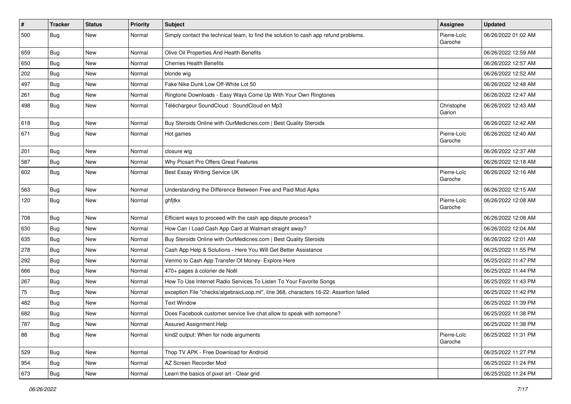| $\vert$ # | <b>Tracker</b> | <b>Status</b> | <b>Priority</b> | <b>Subject</b>                                                                         | Assignee               | <b>Updated</b>      |
|-----------|----------------|---------------|-----------------|----------------------------------------------------------------------------------------|------------------------|---------------------|
| 500       | <b>Bug</b>     | New           | Normal          | Simply contact the technical team, to find the solution to cash app refund problems.   | Pierre-Loïc<br>Garoche | 06/26/2022 01:02 AM |
| 659       | Bug            | New           | Normal          | Olive Oil Properties And Health Benefits                                               |                        | 06/26/2022 12:59 AM |
| 650       | Bug            | <b>New</b>    | Normal          | <b>Cherries Health Benefits</b>                                                        |                        | 06/26/2022 12:57 AM |
| 202       | Bug            | New           | Normal          | blonde wig                                                                             |                        | 06/26/2022 12:52 AM |
| 497       | Bug            | New           | Normal          | Fake Nike Dunk Low Off-White Lot 50                                                    |                        | 06/26/2022 12:48 AM |
| 261       | Bug            | New           | Normal          | Ringtone Downloads - Easy Ways Come Up With Your Own Ringtones                         |                        | 06/26/2022 12:47 AM |
| 498       | Bug            | New           | Normal          | Téléchargeur SoundCloud : SoundCloud en Mp3                                            | Christophe<br>Garion   | 06/26/2022 12:43 AM |
| 618       | Bug            | <b>New</b>    | Normal          | Buy Steroids Online with OurMedicnes.com   Best Quality Steroids                       |                        | 06/26/2022 12:42 AM |
| 671       | Bug            | New           | Normal          | Hot games                                                                              | Pierre-Loïc<br>Garoche | 06/26/2022 12:40 AM |
| 201       | Bug            | New           | Normal          | closure wig                                                                            |                        | 06/26/2022 12:37 AM |
| 587       | Bug            | New           | Normal          | Why Picsart Pro Offers Great Features                                                  |                        | 06/26/2022 12:18 AM |
| 602       | Bug            | New           | Normal          | Best Essay Writing Service UK                                                          | Pierre-Loïc<br>Garoche | 06/26/2022 12:16 AM |
| 563       | Bug            | New           | Normal          | Understanding the Difference Between Free and Paid Mod Apks                            |                        | 06/26/2022 12:15 AM |
| 120       | Bug            | New           | Normal          | ghfjtkx                                                                                | Pierre-Loïc<br>Garoche | 06/26/2022 12:08 AM |
| 708       | Bug            | <b>New</b>    | Normal          | Efficient ways to proceed with the cash app dispute process?                           |                        | 06/26/2022 12:08 AM |
| 630       | Bug            | New           | Normal          | How Can I Load Cash App Card at Walmart straight away?                                 |                        | 06/26/2022 12:04 AM |
| 635       | Bug            | New           | Normal          | Buy Steroids Online with OurMedicnes.com   Best Quality Steroids                       |                        | 06/26/2022 12:01 AM |
| 278       | <b>Bug</b>     | <b>New</b>    | Normal          | Cash App Help & Solutions - Here You Will Get Better Assistance                        |                        | 06/25/2022 11:55 PM |
| 292       | Bug            | <b>New</b>    | Normal          | Venmo to Cash App Transfer Of Money- Explore Here                                      |                        | 06/25/2022 11:47 PM |
| 666       | <b>Bug</b>     | New           | Normal          | 470+ pages à colorier de Noël                                                          |                        | 06/25/2022 11:44 PM |
| 267       | Bug            | <b>New</b>    | Normal          | How To Use Internet Radio Services To Listen To Your Favorite Songs                    |                        | 06/25/2022 11:43 PM |
| 75        | Bug            | New           | Normal          | exception File "checks/algebraicLoop.ml", line 368, characters 16-22: Assertion failed |                        | 06/25/2022 11:42 PM |
| 482       | <b>Bug</b>     | <b>New</b>    | Normal          | <b>Text Window</b>                                                                     |                        | 06/25/2022 11:39 PM |
| 682       | <b>Bug</b>     | New           | Normal          | Does Facebook customer service live chat allow to speak with someone?                  |                        | 06/25/2022 11:38 PM |
| 787       | Bug            | New           | Normal          | Assured Assignment Help                                                                |                        | 06/25/2022 11:38 PM |
| 88        | <b>Bug</b>     | New           | Normal          | kind2 output: When for node arguments                                                  | Pierre-Loïc<br>Garoche | 06/25/2022 11:31 PM |
| 529       | Bug            | New           | Normal          | Thop TV APK - Free Download for Android                                                |                        | 06/25/2022 11:27 PM |
| 954       | <b>Bug</b>     | New           | Normal          | AZ Screen Recorder Mod                                                                 |                        | 06/25/2022 11:24 PM |
| 673       | Bug            | New           | Normal          | Learn the basics of pixel art - Clear grid                                             |                        | 06/25/2022 11:24 PM |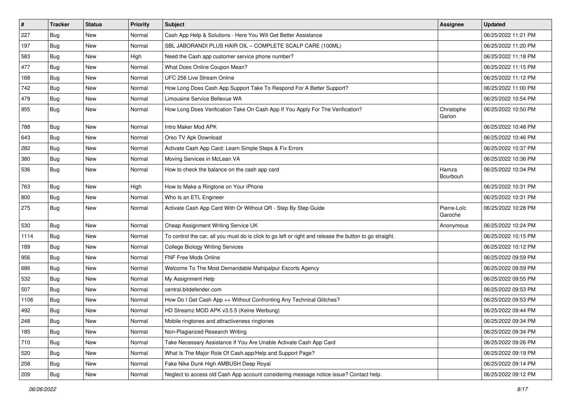| #    | <b>Tracker</b> | <b>Status</b> | <b>Priority</b> | Subject                                                                                                 | Assignee               | <b>Updated</b>      |
|------|----------------|---------------|-----------------|---------------------------------------------------------------------------------------------------------|------------------------|---------------------|
| 227  | Bug            | New           | Normal          | Cash App Help & Solutions - Here You Will Get Better Assistance                                         |                        | 06/25/2022 11:21 PM |
| 197  | Bug            | <b>New</b>    | Normal          | SBL JABORANDI PLUS HAIR OIL - COMPLETE SCALP CARE (100ML)                                               |                        | 06/25/2022 11:20 PM |
| 583  | Bug            | New           | High            | Need the Cash app customer service phone number?                                                        |                        | 06/25/2022 11:18 PM |
| 477  | Bug            | <b>New</b>    | Normal          | What Does Online Coupon Mean?                                                                           |                        | 06/25/2022 11:15 PM |
| 168  | Bug            | New           | Normal          | UFC 256 Live Stream Online                                                                              |                        | 06/25/2022 11:12 PM |
| 742  | Bug            | <b>New</b>    | Normal          | How Long Does Cash App Support Take To Respond For A Better Support?                                    |                        | 06/25/2022 11:00 PM |
| 479  | Bug            | <b>New</b>    | Normal          | Limousine Service Bellevue WA                                                                           |                        | 06/25/2022 10:54 PM |
| 955  | <b>Bug</b>     | New           | Normal          | How Long Does Verification Take On Cash App If You Apply For The Verification?                          | Christophe<br>Garion   | 06/25/2022 10:50 PM |
| 788  | Bug            | <b>New</b>    | Normal          | Intro Maker Mod APK                                                                                     |                        | 06/25/2022 10:48 PM |
| 643  | Bug            | New           | Normal          | Oreo TV Apk Download                                                                                    |                        | 06/25/2022 10:46 PM |
| 282  | Bug            | <b>New</b>    | Normal          | Activate Cash App Card: Learn Simple Steps & Fix Errors                                                 |                        | 06/25/2022 10:37 PM |
| 380  | Bug            | <b>New</b>    | Normal          | Moving Services in McLean VA                                                                            |                        | 06/25/2022 10:36 PM |
| 536  | <b>Bug</b>     | New           | Normal          | How to check the balance on the cash app card                                                           | Hamza<br>Bourbouh      | 06/25/2022 10:34 PM |
| 763  | Bug            | <b>New</b>    | High            | How to Make a Ringtone on Your iPhone                                                                   |                        | 06/25/2022 10:31 PM |
| 800  | Bug            | <b>New</b>    | Normal          | Who Is an ETL Engineer                                                                                  |                        | 06/25/2022 10:31 PM |
| 275  | <b>Bug</b>     | New           | Normal          | Activate Cash App Card With Or Without QR - Step By Step Guide                                          | Pierre-Loïc<br>Garoche | 06/25/2022 10:28 PM |
| 530  | Bug            | <b>New</b>    | Normal          | Cheap Assignment Writing Service UK                                                                     | Anonymous              | 06/25/2022 10:24 PM |
| 1114 | Bug            | <b>New</b>    | Normal          | To control the car, all you must do is click to go left or right and release the button to go straight. |                        | 06/25/2022 10:15 PM |
| 189  | Bug            | New           | Normal          | <b>College Biology Writing Services</b>                                                                 |                        | 06/25/2022 10:12 PM |
| 956  | Bug            | <b>New</b>    | Normal          | FNF Free Mods Online                                                                                    |                        | 06/25/2022 09:59 PM |
| 686  | Bug            | New           | Normal          | Welcome To The Most Demandable Mahipalpur Escorts Agency                                                |                        | 06/25/2022 09:59 PM |
| 532  | Bug            | <b>New</b>    | Normal          | My Assignment Help                                                                                      |                        | 06/25/2022 09:55 PM |
| 507  | Bug            | New           | Normal          | central.bitdefender.com                                                                                 |                        | 06/25/2022 09:53 PM |
| 1106 | Bug            | <b>New</b>    | Normal          | How Do I Get Cash App ++ Without Confronting Any Technical Glitches?                                    |                        | 06/25/2022 09:53 PM |
| 492  | Bug            | New           | Normal          | HD Streamz MOD APK v3.5.5 (Keine Werbung)                                                               |                        | 06/25/2022 09:44 PM |
| 248  | Bug            | New           | Normal          | Mobile ringtones and attractiveness ringtones                                                           |                        | 06/25/2022 09:34 PM |
| 185  | <b>Bug</b>     | New           | Normal          | Non-Plagiarized Research Writing                                                                        |                        | 06/25/2022 09:34 PM |
| 710  | <b>Bug</b>     | New           | Normal          | Take Necessary Assistance If You Are Unable Activate Cash App Card                                      |                        | 06/25/2022 09:26 PM |
| 520  | Bug            | New           | Normal          | What Is The Major Role Of Cash.app/Help and Support Page?                                               |                        | 06/25/2022 09:19 PM |
| 258  | Bug            | New           | Normal          | Fake Nike Dunk High AMBUSH Deep Royal                                                                   |                        | 06/25/2022 09:14 PM |
| 209  | <b>Bug</b>     | New           | Normal          | Neglect to access old Cash App account considering message notice issue? Contact help.                  |                        | 06/25/2022 09:12 PM |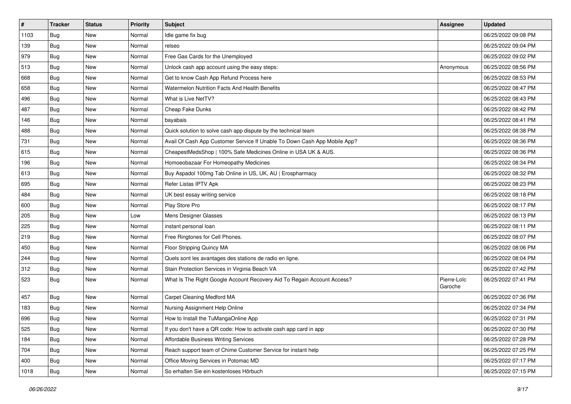| $\vert$ # | <b>Tracker</b> | <b>Status</b> | <b>Priority</b> | <b>Subject</b>                                                            | Assignee               | <b>Updated</b>      |
|-----------|----------------|---------------|-----------------|---------------------------------------------------------------------------|------------------------|---------------------|
| 1103      | Bug            | New           | Normal          | Idle game fix bug                                                         |                        | 06/25/2022 09:08 PM |
| 139       | Bug            | <b>New</b>    | Normal          | relseo                                                                    |                        | 06/25/2022 09:04 PM |
| 979       | Bug            | New           | Normal          | Free Gas Cards for the Unemployed                                         |                        | 06/25/2022 09:02 PM |
| 513       | Bug            | <b>New</b>    | Normal          | Unlock cash app account using the easy steps:                             | Anonymous              | 06/25/2022 08:56 PM |
| 668       | Bug            | New           | Normal          | Get to know Cash App Refund Process here                                  |                        | 06/25/2022 08:53 PM |
| 658       | Bug            | New           | Normal          | Watermelon Nutrition Facts And Health Benefits                            |                        | 06/25/2022 08:47 PM |
| 496       | Bug            | <b>New</b>    | Normal          | What is Live NetTV?                                                       |                        | 06/25/2022 08:43 PM |
| 487       | Bug            | New           | Normal          | Cheap Fake Dunks                                                          |                        | 06/25/2022 08:42 PM |
| 146       | Bug            | <b>New</b>    | Normal          | bayabais                                                                  |                        | 06/25/2022 08:41 PM |
| 488       | Bug            | <b>New</b>    | Normal          | Quick solution to solve cash app dispute by the technical team            |                        | 06/25/2022 08:38 PM |
| 731       | Bug            | New           | Normal          | Avail Of Cash App Customer Service If Unable To Down Cash App Mobile App? |                        | 06/25/2022 08:36 PM |
| 615       | <b>Bug</b>     | <b>New</b>    | Normal          | CheapestMedsShop   100% Safe Medicines Online in USA UK & AUS.            |                        | 06/25/2022 08:36 PM |
| 196       | Bug            | <b>New</b>    | Normal          | Homoeobazaar For Homeopathy Medicines                                     |                        | 06/25/2022 08:34 PM |
| 613       | Bug            | <b>New</b>    | Normal          | Buy Aspadol 100mg Tab Online in US, UK, AU   Erospharmacy                 |                        | 06/25/2022 08:32 PM |
| 695       | Bug            | <b>New</b>    | Normal          | Refer Listas IPTV Apk                                                     |                        | 06/25/2022 08:23 PM |
| 484       | Bug            | New           | Normal          | UK best essay writing service                                             |                        | 06/25/2022 08:18 PM |
| 600       | <b>Bug</b>     | <b>New</b>    | Normal          | Play Store Pro                                                            |                        | 06/25/2022 08:17 PM |
| 205       | Bug            | <b>New</b>    | Low             | Mens Designer Glasses                                                     |                        | 06/25/2022 08:13 PM |
| 225       | <b>Bug</b>     | New           | Normal          | instant personal loan                                                     |                        | 06/25/2022 08:11 PM |
| 219       | <b>Bug</b>     | <b>New</b>    | Normal          | Free Ringtones for Cell Phones.                                           |                        | 06/25/2022 08:07 PM |
| 450       | Bug            | New           | Normal          | Floor Stripping Quincy MA                                                 |                        | 06/25/2022 08:06 PM |
| 244       | Bug            | <b>New</b>    | Normal          | Quels sont les avantages des stations de radio en ligne.                  |                        | 06/25/2022 08:04 PM |
| 312       | Bug            | <b>New</b>    | Normal          | Stain Protection Services in Virginia Beach VA                            |                        | 06/25/2022 07:42 PM |
| 523       | <b>Bug</b>     | New           | Normal          | What Is The Right Google Account Recovery Aid To Regain Account Access?   | Pierre-Loïc<br>Garoche | 06/25/2022 07:41 PM |
| 457       | Bug            | <b>New</b>    | Normal          | Carpet Cleaning Medford MA                                                |                        | 06/25/2022 07:36 PM |
| 183       | Bug            | New           | Normal          | Nursing Assignment Help Online                                            |                        | 06/25/2022 07:34 PM |
| 696       | <b>Bug</b>     | New           | Normal          | How to Install the TuMangaOnline App                                      |                        | 06/25/2022 07:31 PM |
| 525       | <b>Bug</b>     | New           | Normal          | If you don't have a QR code: How to activate cash app card in app         |                        | 06/25/2022 07:30 PM |
| 184       | <b>Bug</b>     | New           | Normal          | Affordable Business Writing Services                                      |                        | 06/25/2022 07:28 PM |
| 704       | Bug            | New           | Normal          | Reach support team of Chime Customer Service for instant help             |                        | 06/25/2022 07:25 PM |
| 400       | <b>Bug</b>     | New           | Normal          | Office Moving Services in Potomac MD                                      |                        | 06/25/2022 07:17 PM |
| 1018      | <b>Bug</b>     | New           | Normal          | So erhalten Sie ein kostenloses Hörbuch                                   |                        | 06/25/2022 07:15 PM |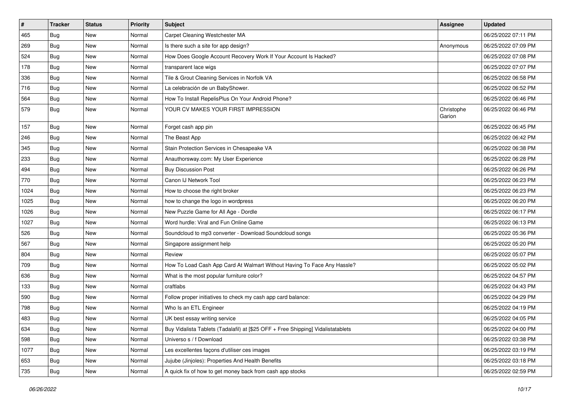| $\vert$ # | <b>Tracker</b> | <b>Status</b> | <b>Priority</b> | <b>Subject</b>                                                                   | Assignee             | <b>Updated</b>      |
|-----------|----------------|---------------|-----------------|----------------------------------------------------------------------------------|----------------------|---------------------|
| 465       | Bug            | New           | Normal          | Carpet Cleaning Westchester MA                                                   |                      | 06/25/2022 07:11 PM |
| 269       | Bug            | <b>New</b>    | Normal          | Is there such a site for app design?                                             | Anonymous            | 06/25/2022 07:09 PM |
| 524       | Bug            | New           | Normal          | How Does Google Account Recovery Work If Your Account Is Hacked?                 |                      | 06/25/2022 07:08 PM |
| 178       | Bug            | <b>New</b>    | Normal          | transparent lace wigs                                                            |                      | 06/25/2022 07:07 PM |
| 336       | Bug            | <b>New</b>    | Normal          | Tile & Grout Cleaning Services in Norfolk VA                                     |                      | 06/25/2022 06:58 PM |
| 716       | Bug            | New           | Normal          | La celebración de un BabyShower.                                                 |                      | 06/25/2022 06:52 PM |
| 564       | Bug            | <b>New</b>    | Normal          | How To Install RepelisPlus On Your Android Phone?                                |                      | 06/25/2022 06:46 PM |
| 579       | Bug            | <b>New</b>    | Normal          | YOUR CV MAKES YOUR FIRST IMPRESSION                                              | Christophe<br>Garion | 06/25/2022 06:46 PM |
| 157       | Bug            | <b>New</b>    | Normal          | Forget cash app pin                                                              |                      | 06/25/2022 06:45 PM |
| 246       | Bug            | New           | Normal          | The Beast App                                                                    |                      | 06/25/2022 06:42 PM |
| 345       | <b>Bug</b>     | <b>New</b>    | Normal          | Stain Protection Services in Chesapeake VA                                       |                      | 06/25/2022 06:38 PM |
| 233       | Bug            | <b>New</b>    | Normal          | Anauthorsway.com: My User Experience                                             |                      | 06/25/2022 06:28 PM |
| 494       | Bug            | New           | Normal          | <b>Buy Discussion Post</b>                                                       |                      | 06/25/2022 06:26 PM |
| 770       | Bug            | <b>New</b>    | Normal          | Canon IJ Network Tool                                                            |                      | 06/25/2022 06:23 PM |
| 1024      | <b>Bug</b>     | New           | Normal          | How to choose the right broker                                                   |                      | 06/25/2022 06:23 PM |
| 1025      | <b>Bug</b>     | <b>New</b>    | Normal          | how to change the logo in wordpress                                              |                      | 06/25/2022 06:20 PM |
| 1026      | Bug            | <b>New</b>    | Normal          | New Puzzle Game for All Age - Dordle                                             |                      | 06/25/2022 06:17 PM |
| 1027      | <b>Bug</b>     | New           | Normal          | Word hurdle: Viral and Fun Online Game                                           |                      | 06/25/2022 06:13 PM |
| 526       | Bug            | <b>New</b>    | Normal          | Soundcloud to mp3 converter - Download Soundcloud songs                          |                      | 06/25/2022 05:36 PM |
| 567       | Bug            | <b>New</b>    | Normal          | Singapore assignment help                                                        |                      | 06/25/2022 05:20 PM |
| 804       | <b>Bug</b>     | <b>New</b>    | Normal          | Review                                                                           |                      | 06/25/2022 05:07 PM |
| 709       | <b>Bug</b>     | <b>New</b>    | Normal          | How To Load Cash App Card At Walmart Without Having To Face Any Hassle?          |                      | 06/25/2022 05:02 PM |
| 636       | Bug            | New           | Normal          | What is the most popular furniture color?                                        |                      | 06/25/2022 04:57 PM |
| 133       | <b>Bug</b>     | <b>New</b>    | Normal          | craftlabs                                                                        |                      | 06/25/2022 04:43 PM |
| 590       | Bug            | <b>New</b>    | Normal          | Follow proper initiatives to check my cash app card balance:                     |                      | 06/25/2022 04:29 PM |
| 798       | Bug            | New           | Normal          | Who Is an ETL Engineer                                                           |                      | 06/25/2022 04:19 PM |
| 483       | <b>Bug</b>     | New           | Normal          | UK best essay writing service                                                    |                      | 06/25/2022 04:05 PM |
| 634       | <b>Bug</b>     | New           | Normal          | Buy Vidalista Tablets (Tadalafil) at [\$25 OFF + Free Shipping] Vidalistatablets |                      | 06/25/2022 04:00 PM |
| 598       | <b>Bug</b>     | New           | Normal          | Universo s / f Download                                                          |                      | 06/25/2022 03:38 PM |
| 1077      | Bug            | New           | Normal          | Les excellentes façons d'utiliser ces images                                     |                      | 06/25/2022 03:19 PM |
| 653       | <b>Bug</b>     | New           | Normal          | Jujube (Jinjoles): Properties And Health Benefits                                |                      | 06/25/2022 03:18 PM |
| 735       | <b>Bug</b>     | New           | Normal          | A quick fix of how to get money back from cash app stocks                        |                      | 06/25/2022 02:59 PM |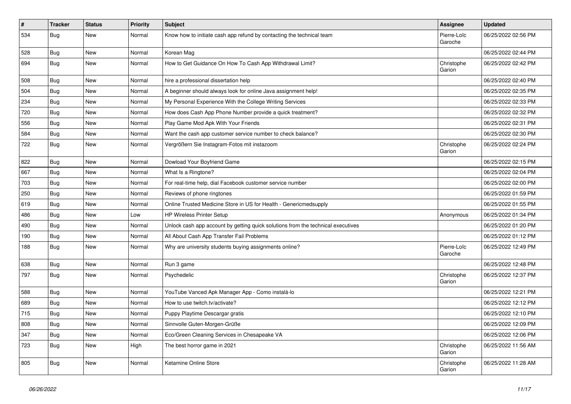| $\pmb{\sharp}$ | <b>Tracker</b> | <b>Status</b> | <b>Priority</b> | <b>Subject</b>                                                                   | <b>Assignee</b>        | <b>Updated</b>      |
|----------------|----------------|---------------|-----------------|----------------------------------------------------------------------------------|------------------------|---------------------|
| 534            | Bug            | <b>New</b>    | Normal          | Know how to initiate cash app refund by contacting the technical team            | Pierre-Loïc<br>Garoche | 06/25/2022 02:56 PM |
| 528            | Bug            | <b>New</b>    | Normal          | Korean Mag                                                                       |                        | 06/25/2022 02:44 PM |
| 694            | Bug            | <b>New</b>    | Normal          | How to Get Guidance On How To Cash App Withdrawal Limit?                         | Christophe<br>Garion   | 06/25/2022 02:42 PM |
| 508            | Bug            | <b>New</b>    | Normal          | hire a professional dissertation help                                            |                        | 06/25/2022 02:40 PM |
| 504            | Bug            | <b>New</b>    | Normal          | A beginner should always look for online Java assignment help!                   |                        | 06/25/2022 02:35 PM |
| 234            | Bug            | New           | Normal          | My Personal Experience With the College Writing Services                         |                        | 06/25/2022 02:33 PM |
| 720            | Bug            | <b>New</b>    | Normal          | How does Cash App Phone Number provide a quick treatment?                        |                        | 06/25/2022 02:32 PM |
| 556            | Bug            | New           | Normal          | Play Game Mod Apk With Your Friends                                              |                        | 06/25/2022 02:31 PM |
| 584            | Bug            | <b>New</b>    | Normal          | Want the cash app customer service number to check balance?                      |                        | 06/25/2022 02:30 PM |
| 722            | <b>Bug</b>     | <b>New</b>    | Normal          | Vergrößern Sie Instagram-Fotos mit instazoom                                     | Christophe<br>Garion   | 06/25/2022 02:24 PM |
| 822            | Bug            | <b>New</b>    | Normal          | Dowload Your Boyfriend Game                                                      |                        | 06/25/2022 02:15 PM |
| 667            | Bug            | <b>New</b>    | Normal          | What Is a Ringtone?                                                              |                        | 06/25/2022 02:04 PM |
| 703            | Bug            | New           | Normal          | For real-time help, dial Facebook customer service number                        |                        | 06/25/2022 02:00 PM |
| 250            | Bug            | <b>New</b>    | Normal          | Reviews of phone ringtones                                                       |                        | 06/25/2022 01:59 PM |
| 619            | Bug            | New           | Normal          | Online Trusted Medicine Store in US for Health - Genericmedsupply                |                        | 06/25/2022 01:55 PM |
| 486            | Bug            | <b>New</b>    | Low             | <b>HP Wireless Printer Setup</b>                                                 | Anonymous              | 06/25/2022 01:34 PM |
| 490            | Bug            | <b>New</b>    | Normal          | Unlock cash app account by getting quick solutions from the technical executives |                        | 06/25/2022 01:20 PM |
| 190            | Bug            | <b>New</b>    | Normal          | All About Cash App Transfer Fail Problems                                        |                        | 06/25/2022 01:12 PM |
| 188            | Bug            | New           | Normal          | Why are university students buying assignments online?                           | Pierre-Loïc<br>Garoche | 06/25/2022 12:49 PM |
| 638            | <b>Bug</b>     | <b>New</b>    | Normal          | Run 3 game                                                                       |                        | 06/25/2022 12:48 PM |
| 797            | Bug            | New           | Normal          | Psychedelic                                                                      | Christophe<br>Garion   | 06/25/2022 12:37 PM |
| 588            | Bug            | New           | Normal          | YouTube Vanced Apk Manager App - Como instalá-lo                                 |                        | 06/25/2022 12:21 PM |
| 689            | Bug            | New           | Normal          | How to use twitch.tv/activate?                                                   |                        | 06/25/2022 12:12 PM |
| 715            | Bug            | New           | Normal          | Puppy Playtime Descargar gratis                                                  |                        | 06/25/2022 12:10 PM |
| 808            | Bug            | <b>New</b>    | Normal          | Sinnvolle Guten-Morgen-Grüße                                                     |                        | 06/25/2022 12:09 PM |
| 347            | Bug            | <b>New</b>    | Normal          | Eco/Green Cleaning Services in Chesapeake VA                                     |                        | 06/25/2022 12:06 PM |
| 723            | Bug            | <b>New</b>    | High            | The best horror game in 2021                                                     | Christophe<br>Garion   | 06/25/2022 11:56 AM |
| 805            | Bug            | New           | Normal          | Ketamine Online Store                                                            | Christophe<br>Garion   | 06/25/2022 11:28 AM |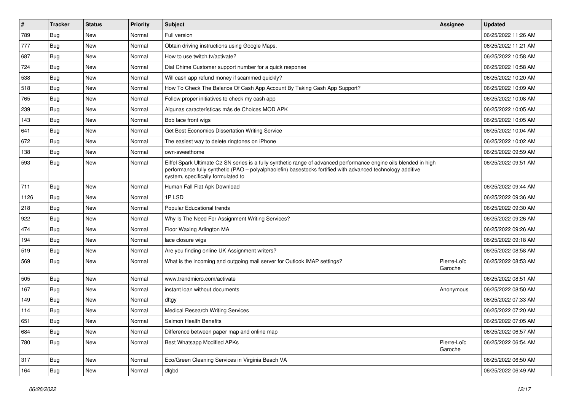| $\vert$ # | <b>Tracker</b> | <b>Status</b> | <b>Priority</b> | Subject                                                                                                                                                                                                                                                               | Assignee               | <b>Updated</b>      |
|-----------|----------------|---------------|-----------------|-----------------------------------------------------------------------------------------------------------------------------------------------------------------------------------------------------------------------------------------------------------------------|------------------------|---------------------|
| 789       | Bug            | New           | Normal          | Full version                                                                                                                                                                                                                                                          |                        | 06/25/2022 11:26 AM |
| 777       | Bug            | <b>New</b>    | Normal          | Obtain driving instructions using Google Maps.                                                                                                                                                                                                                        |                        | 06/25/2022 11:21 AM |
| 687       | Bug            | New           | Normal          | How to use twitch.tv/activate?                                                                                                                                                                                                                                        |                        | 06/25/2022 10:58 AM |
| 724       | Bug            | <b>New</b>    | Normal          | Dial Chime Customer support number for a quick response                                                                                                                                                                                                               |                        | 06/25/2022 10:58 AM |
| 538       | Bug            | <b>New</b>    | Normal          | Will cash app refund money if scammed quickly?                                                                                                                                                                                                                        |                        | 06/25/2022 10:20 AM |
| 518       | Bug            | New           | Normal          | How To Check The Balance Of Cash App Account By Taking Cash App Support?                                                                                                                                                                                              |                        | 06/25/2022 10:09 AM |
| 765       | Bug            | <b>New</b>    | Normal          | Follow proper initiatives to check my cash app                                                                                                                                                                                                                        |                        | 06/25/2022 10:08 AM |
| 239       | Bug            | New           | Normal          | Algunas características más de Choices MOD APK                                                                                                                                                                                                                        |                        | 06/25/2022 10:05 AM |
| 143       | Bug            | <b>New</b>    | Normal          | Bob lace front wigs                                                                                                                                                                                                                                                   |                        | 06/25/2022 10:05 AM |
| 641       | Bug            | <b>New</b>    | Normal          | Get Best Economics Dissertation Writing Service                                                                                                                                                                                                                       |                        | 06/25/2022 10:04 AM |
| 672       | Bug            | <b>New</b>    | Normal          | The easiest way to delete ringtones on iPhone                                                                                                                                                                                                                         |                        | 06/25/2022 10:02 AM |
| 138       | Bug            | New           | Normal          | own-sweethome                                                                                                                                                                                                                                                         |                        | 06/25/2022 09:59 AM |
| 593       | Bug            | New           | Normal          | Eiffel Spark Ultimate C2 SN series is a fully synthetic range of advanced performance engine oils blended in high<br>performance fully synthetic (PAO – polyalphaolefin) basestocks fortified with advanced technology additive<br>system, specifically formulated to |                        | 06/25/2022 09:51 AM |
| 711       | Bug            | New           | Normal          | Human Fall Flat Apk Download                                                                                                                                                                                                                                          |                        | 06/25/2022 09:44 AM |
| 1126      | Bug            | <b>New</b>    | Normal          | 1PLSD                                                                                                                                                                                                                                                                 |                        | 06/25/2022 09:36 AM |
| 218       | Bug            | New           | Normal          | Popular Educational trends                                                                                                                                                                                                                                            |                        | 06/25/2022 09:30 AM |
| 922       | Bug            | <b>New</b>    | Normal          | Why Is The Need For Assignment Writing Services?                                                                                                                                                                                                                      |                        | 06/25/2022 09:26 AM |
| 474       | Bug            | <b>New</b>    | Normal          | Floor Waxing Arlington MA                                                                                                                                                                                                                                             |                        | 06/25/2022 09:26 AM |
| 194       | Bug            | <b>New</b>    | Normal          | lace closure wigs                                                                                                                                                                                                                                                     |                        | 06/25/2022 09:18 AM |
| 519       | Bug            | <b>New</b>    | Normal          | Are you finding online UK Assignment writers?                                                                                                                                                                                                                         |                        | 06/25/2022 08:58 AM |
| 569       | <b>Bug</b>     | New           | Normal          | What is the incoming and outgoing mail server for Outlook IMAP settings?                                                                                                                                                                                              | Pierre-Loïc<br>Garoche | 06/25/2022 08:53 AM |
| 505       | Bug            | <b>New</b>    | Normal          | www.trendmicro.com/activate                                                                                                                                                                                                                                           |                        | 06/25/2022 08:51 AM |
| 167       | Bug            | <b>New</b>    | Normal          | instant loan without documents                                                                                                                                                                                                                                        | Anonymous              | 06/25/2022 08:50 AM |
| 149       | Bug            | New           | Normal          | dftgy                                                                                                                                                                                                                                                                 |                        | 06/25/2022 07:33 AM |
| 114       | <b>Bug</b>     | <b>New</b>    | Normal          | <b>Medical Research Writing Services</b>                                                                                                                                                                                                                              |                        | 06/25/2022 07:20 AM |
| 651       | Bug            | New           | Normal          | Salmon Health Benefits                                                                                                                                                                                                                                                |                        | 06/25/2022 07:05 AM |
| 684       | <b>Bug</b>     | New           | Normal          | Difference between paper map and online map                                                                                                                                                                                                                           |                        | 06/25/2022 06:57 AM |
| 780       | <b>Bug</b>     | New           | Normal          | Best Whatsapp Modified APKs                                                                                                                                                                                                                                           | Pierre-Loïc<br>Garoche | 06/25/2022 06:54 AM |
| 317       | <b>Bug</b>     | New           | Normal          | Eco/Green Cleaning Services in Virginia Beach VA                                                                                                                                                                                                                      |                        | 06/25/2022 06:50 AM |
| 164       | Bug            | New           | Normal          | dfgbd                                                                                                                                                                                                                                                                 |                        | 06/25/2022 06:49 AM |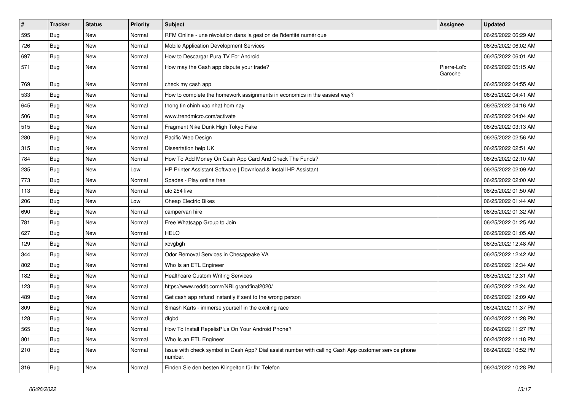| $\sharp$ | <b>Tracker</b> | <b>Status</b> | <b>Priority</b> | <b>Subject</b>                                                                                                  | <b>Assignee</b>        | <b>Updated</b>      |
|----------|----------------|---------------|-----------------|-----------------------------------------------------------------------------------------------------------------|------------------------|---------------------|
| 595      | Bug            | New           | Normal          | RFM Online - une révolution dans la gestion de l'identité numérique                                             |                        | 06/25/2022 06:29 AM |
| 726      | Bug            | <b>New</b>    | Normal          | Mobile Application Development Services                                                                         |                        | 06/25/2022 06:02 AM |
| 697      | Bug            | <b>New</b>    | Normal          | How to Descargar Pura TV For Android                                                                            |                        | 06/25/2022 06:01 AM |
| 571      | <b>Bug</b>     | <b>New</b>    | Normal          | How may the Cash app dispute your trade?                                                                        | Pierre-Loïc<br>Garoche | 06/25/2022 05:15 AM |
| 769      | Bug            | <b>New</b>    | Normal          | check my cash app                                                                                               |                        | 06/25/2022 04:55 AM |
| 533      | Bug            | New           | Normal          | How to complete the homework assignments in economics in the easiest way?                                       |                        | 06/25/2022 04:41 AM |
| 645      | Bug            | <b>New</b>    | Normal          | thong tin chinh xac nhat hom nay                                                                                |                        | 06/25/2022 04:16 AM |
| 506      | Bug            | New           | Normal          | www.trendmicro.com/activate                                                                                     |                        | 06/25/2022 04:04 AM |
| 515      | Bug            | <b>New</b>    | Normal          | Fragment Nike Dunk High Tokyo Fake                                                                              |                        | 06/25/2022 03:13 AM |
| 280      | Bug            | New           | Normal          | Pacific Web Design                                                                                              |                        | 06/25/2022 02:56 AM |
| 315      | Bug            | <b>New</b>    | Normal          | Dissertation help UK                                                                                            |                        | 06/25/2022 02:51 AM |
| 784      | Bug            | New           | Normal          | How To Add Money On Cash App Card And Check The Funds?                                                          |                        | 06/25/2022 02:10 AM |
| 235      | Bug            | <b>New</b>    | Low             | HP Printer Assistant Software   Download & Install HP Assistant                                                 |                        | 06/25/2022 02:09 AM |
| 773      | Bug            | New           | Normal          | Spades - Play online free                                                                                       |                        | 06/25/2022 02:00 AM |
| 113      | Bug            | <b>New</b>    | Normal          | ufc 254 live                                                                                                    |                        | 06/25/2022 01:50 AM |
| 206      | Bug            | New           | Low             | <b>Cheap Electric Bikes</b>                                                                                     |                        | 06/25/2022 01:44 AM |
| 690      | Bug            | New           | Normal          | campervan hire                                                                                                  |                        | 06/25/2022 01:32 AM |
| 781      | Bug            | New           | Normal          | Free Whatsapp Group to Join                                                                                     |                        | 06/25/2022 01:25 AM |
| 627      | Bug            | <b>New</b>    | Normal          | <b>HELO</b>                                                                                                     |                        | 06/25/2022 01:05 AM |
| 129      | Bug            | <b>New</b>    | Normal          | xcvgbgh                                                                                                         |                        | 06/25/2022 12:48 AM |
| 344      | Bug            | <b>New</b>    | Normal          | Odor Removal Services in Chesapeake VA                                                                          |                        | 06/25/2022 12:42 AM |
| 802      | Bug            | <b>New</b>    | Normal          | Who Is an ETL Engineer                                                                                          |                        | 06/25/2022 12:34 AM |
| 182      | Bug            | <b>New</b>    | Normal          | <b>Healthcare Custom Writing Services</b>                                                                       |                        | 06/25/2022 12:31 AM |
| 123      | Bug            | <b>New</b>    | Normal          | https://www.reddit.com/r/NRLgrandfinal2020/                                                                     |                        | 06/25/2022 12:24 AM |
| 489      | Bug            | <b>New</b>    | Normal          | Get cash app refund instantly if sent to the wrong person                                                       |                        | 06/25/2022 12:09 AM |
| 809      | Bug            | <b>New</b>    | Normal          | Smash Karts - immerse yourself in the exciting race                                                             |                        | 06/24/2022 11:37 PM |
| 128      | Bug            | New           | Normal          | dfgbd                                                                                                           |                        | 06/24/2022 11:28 PM |
| 565      | Bug            | <b>New</b>    | Normal          | How To Install RepelisPlus On Your Android Phone?                                                               |                        | 06/24/2022 11:27 PM |
| 801      | Bug            | <b>New</b>    | Normal          | Who Is an ETL Engineer                                                                                          |                        | 06/24/2022 11:18 PM |
| 210      | Bug            | <b>New</b>    | Normal          | Issue with check symbol in Cash App? Dial assist number with calling Cash App customer service phone<br>number. |                        | 06/24/2022 10:52 PM |
| 316      | Bug            | <b>New</b>    | Normal          | Finden Sie den besten Klingelton für Ihr Telefon                                                                |                        | 06/24/2022 10:28 PM |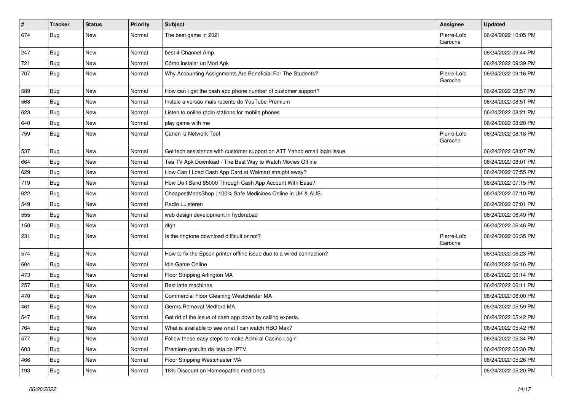| $\vert$ # | <b>Tracker</b> | <b>Status</b> | <b>Priority</b> | <b>Subject</b>                                                            | Assignee               | <b>Updated</b>      |
|-----------|----------------|---------------|-----------------|---------------------------------------------------------------------------|------------------------|---------------------|
| 674       | <b>Bug</b>     | New           | Normal          | The best game in 2021                                                     | Pierre-Loïc<br>Garoche | 06/24/2022 10:05 PM |
| 247       | Bug            | <b>New</b>    | Normal          | best 4 Channel Amp                                                        |                        | 06/24/2022 09:44 PM |
| 721       | <b>Bug</b>     | <b>New</b>    | Normal          | Cómo instalar un Mod Apk                                                  |                        | 06/24/2022 09:39 PM |
| 707       | Bug            | <b>New</b>    | Normal          | Why Accounting Assignments Are Beneficial For The Students?               | Pierre-Loïc<br>Garoche | 06/24/2022 09:16 PM |
| 589       | Bug            | New           | Normal          | How can I get the cash app phone number of customer support?              |                        | 06/24/2022 08:57 PM |
| 568       | Bug            | <b>New</b>    | Normal          | Instale a versão mais recente do YouTube Premium                          |                        | 06/24/2022 08:51 PM |
| 623       | Bug            | <b>New</b>    | Normal          | Listen to online radio stations for mobile phones                         |                        | 06/24/2022 08:21 PM |
| 640       | Bug            | <b>New</b>    | Normal          | play game with me                                                         |                        | 06/24/2022 08:20 PM |
| 759       | Bug            | New           | Normal          | Canon IJ Network Tool                                                     | Pierre-Loïc<br>Garoche | 06/24/2022 08:18 PM |
| 537       | Bug            | <b>New</b>    | Normal          | Get tech assistance with customer support on ATT Yahoo email login issue. |                        | 06/24/2022 08:07 PM |
| 664       | Bug            | <b>New</b>    | Normal          | Tea TV Apk Download - The Best Way to Watch Movies Offline                |                        | 06/24/2022 08:01 PM |
| 629       | Bug            | <b>New</b>    | Normal          | How Can I Load Cash App Card at Walmart straight away?                    |                        | 06/24/2022 07:55 PM |
| 719       | Bug            | <b>New</b>    | Normal          | How Do I Send \$5000 Through Cash App Account With Ease?                  |                        | 06/24/2022 07:15 PM |
| 622       | Bug            | <b>New</b>    | Normal          | CheapestMedsShop   100% Safe Medicines Online in UK & AUS.                |                        | 06/24/2022 07:10 PM |
| 549       | Bug            | <b>New</b>    | Normal          | Radio Luisteren                                                           |                        | 06/24/2022 07:01 PM |
| 555       | Bug            | New           | Normal          | web design development in hyderabad                                       |                        | 06/24/2022 06:49 PM |
| 150       | Bug            | New           | Normal          | dfgh                                                                      |                        | 06/24/2022 06:46 PM |
| 231       | Bug            | <b>New</b>    | Normal          | Is the ringtone download difficult or not?                                | Pierre-Loïc<br>Garoche | 06/24/2022 06:35 PM |
| 574       | Bug            | <b>New</b>    | Normal          | How to fix the Epson printer offline issue due to a wired connection?     |                        | 06/24/2022 06:23 PM |
| 604       | Bug            | <b>New</b>    | Normal          | Idle Game Online                                                          |                        | 06/24/2022 06:16 PM |
| 473       | Bug            | <b>New</b>    | Normal          | Floor Stripping Arlington MA                                              |                        | 06/24/2022 06:14 PM |
| 257       | Bug            | <b>New</b>    | Normal          | Best latte machines                                                       |                        | 06/24/2022 06:11 PM |
| 470       | <b>Bug</b>     | New           | Normal          | Commercial Floor Cleaning Westchester MA                                  |                        | 06/24/2022 06:00 PM |
| 461       | Bug            | New           | Normal          | Germs Removal Medford MA                                                  |                        | 06/24/2022 05:59 PM |
| 547       | <b>Bug</b>     | <b>New</b>    | Normal          | Get rid of the issue of cash app down by calling experts.                 |                        | 06/24/2022 05:42 PM |
| 764       | <b>Bug</b>     | New           | Normal          | What is available to see what I can watch HBO Max?                        |                        | 06/24/2022 05:42 PM |
| 577       | Bug            | <b>New</b>    | Normal          | Follow these easy steps to make Admiral Casino Login                      |                        | 06/24/2022 05:34 PM |
| 603       | <b>Bug</b>     | New           | Normal          | Premiere gratuito da lista de IPTV                                        |                        | 06/24/2022 05:30 PM |
| 466       | <b>Bug</b>     | New           | Normal          | Floor Stripping Westchester MA                                            |                        | 06/24/2022 05:26 PM |
| 193       | <b>Bug</b>     | New           | Normal          | 18% Discount on Homeopathic medicines                                     |                        | 06/24/2022 05:20 PM |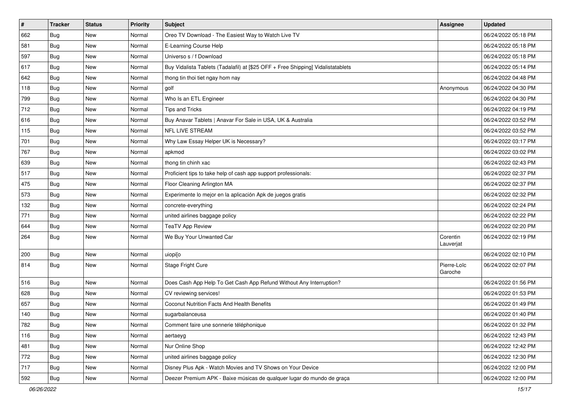| $\pmb{\#}$ | <b>Tracker</b> | <b>Status</b> | Priority | Subject                                                                          | Assignee               | <b>Updated</b>      |
|------------|----------------|---------------|----------|----------------------------------------------------------------------------------|------------------------|---------------------|
| 662        | Bug            | New           | Normal   | Oreo TV Download - The Easiest Way to Watch Live TV                              |                        | 06/24/2022 05:18 PM |
| 581        | Bug            | <b>New</b>    | Normal   | E-Learning Course Help                                                           |                        | 06/24/2022 05:18 PM |
| 597        | Bug            | New           | Normal   | Universo s / f Download                                                          |                        | 06/24/2022 05:18 PM |
| 617        | Bug            | New           | Normal   | Buy Vidalista Tablets (Tadalafil) at [\$25 OFF + Free Shipping] Vidalistatablets |                        | 06/24/2022 05:14 PM |
| 642        | Bug            | <b>New</b>    | Normal   | thong tin thoi tiet ngay hom nay                                                 |                        | 06/24/2022 04:48 PM |
| 118        | Bug            | <b>New</b>    | Normal   | golf                                                                             | Anonymous              | 06/24/2022 04:30 PM |
| 799        | Bug            | <b>New</b>    | Normal   | Who Is an ETL Engineer                                                           |                        | 06/24/2022 04:30 PM |
| 712        | Bug            | <b>New</b>    | Normal   | Tips and Tricks                                                                  |                        | 06/24/2022 04:19 PM |
| 616        | Bug            | <b>New</b>    | Normal   | Buy Anavar Tablets   Anavar For Sale in USA, UK & Australia                      |                        | 06/24/2022 03:52 PM |
| 115        | Bug            | <b>New</b>    | Normal   | NFL LIVE STREAM                                                                  |                        | 06/24/2022 03:52 PM |
| 701        | Bug            | <b>New</b>    | Normal   | Why Law Essay Helper UK is Necessary?                                            |                        | 06/24/2022 03:17 PM |
| 767        | Bug            | <b>New</b>    | Normal   | apkmod                                                                           |                        | 06/24/2022 03:02 PM |
| 639        | Bug            | <b>New</b>    | Normal   | thong tin chinh xac                                                              |                        | 06/24/2022 02:43 PM |
| 517        | Bug            | New           | Normal   | Proficient tips to take help of cash app support professionals:                  |                        | 06/24/2022 02:37 PM |
| 475        | Bug            | <b>New</b>    | Normal   | Floor Cleaning Arlington MA                                                      |                        | 06/24/2022 02:37 PM |
| 573        | Bug            | New           | Normal   | Experimente lo mejor en la aplicación Apk de juegos gratis                       |                        | 06/24/2022 02:32 PM |
| 132        | Bug            | <b>New</b>    | Normal   | concrete-everything                                                              |                        | 06/24/2022 02:24 PM |
| 771        | Bug            | <b>New</b>    | Normal   | united airlines baggage policy                                                   |                        | 06/24/2022 02:22 PM |
| 644        | Bug            | New           | Normal   | <b>TeaTV App Review</b>                                                          |                        | 06/24/2022 02:20 PM |
| 264        | Bug            | New           | Normal   | We Buy Your Unwanted Car                                                         | Corentin<br>Lauverjat  | 06/24/2022 02:19 PM |
| 200        | Bug            | <b>New</b>    | Normal   | uiopi[o                                                                          |                        | 06/24/2022 02:10 PM |
| 814        | Bug            | New           | Normal   | Stage Fright Cure                                                                | Pierre-Loïc<br>Garoche | 06/24/2022 02:07 PM |
| 516        | Bug            | <b>New</b>    | Normal   | Does Cash App Help To Get Cash App Refund Without Any Interruption?              |                        | 06/24/2022 01:56 PM |
| 628        | Bug            | <b>New</b>    | Normal   | CV reviewing services!                                                           |                        | 06/24/2022 01:53 PM |
| 657        | Bug            | New           | Normal   | Coconut Nutrition Facts And Health Benefits                                      |                        | 06/24/2022 01:49 PM |
| 140        | Bug            | <b>New</b>    | Normal   | sugarbalanceusa                                                                  |                        | 06/24/2022 01:40 PM |
| 782        | Bug            | New           | Normal   | Comment faire une sonnerie téléphonique                                          |                        | 06/24/2022 01:32 PM |
| 116        | Bug            | New           | Normal   | aertaeyg                                                                         |                        | 06/24/2022 12:43 PM |
| 481        | Bug            | New           | Normal   | Nur Online Shop                                                                  |                        | 06/24/2022 12:42 PM |
| 772        | Bug            | New           | Normal   | united airlines baggage policy                                                   |                        | 06/24/2022 12:30 PM |
| 717        | Bug            | New           | Normal   | Disney Plus Apk - Watch Movies and TV Shows on Your Device                       |                        | 06/24/2022 12:00 PM |
| 592        | Bug            | New           | Normal   | Deezer Premium APK - Baixe músicas de qualquer lugar do mundo de graça           |                        | 06/24/2022 12:00 PM |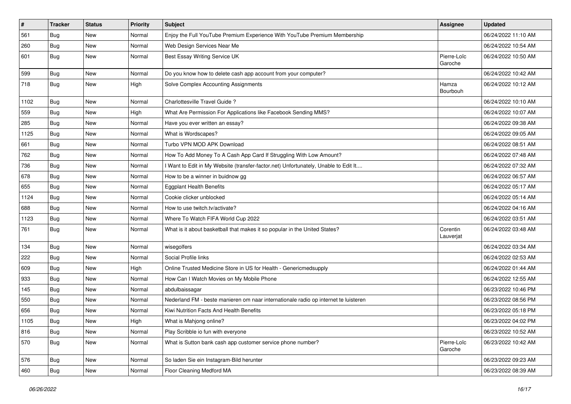| #    | <b>Tracker</b> | <b>Status</b> | <b>Priority</b> | Subject                                                                             | Assignee               | <b>Updated</b>      |
|------|----------------|---------------|-----------------|-------------------------------------------------------------------------------------|------------------------|---------------------|
| 561  | Bug            | New           | Normal          | Enjoy the Full YouTube Premium Experience With YouTube Premium Membership           |                        | 06/24/2022 11:10 AM |
| 260  | Bug            | <b>New</b>    | Normal          | Web Design Services Near Me                                                         |                        | 06/24/2022 10:54 AM |
| 601  | Bug            | New           | Normal          | Best Essay Writing Service UK                                                       | Pierre-Loïc<br>Garoche | 06/24/2022 10:50 AM |
| 599  | Bug            | New           | Normal          | Do you know how to delete cash app account from your computer?                      |                        | 06/24/2022 10:42 AM |
| 718  | Bug            | New           | High            | Solve Complex Accounting Assignments                                                | Hamza<br>Bourbouh      | 06/24/2022 10:12 AM |
| 1102 | Bug            | <b>New</b>    | Normal          | Charlottesville Travel Guide?                                                       |                        | 06/24/2022 10:10 AM |
| 559  | Bug            | New           | High            | What Are Permission For Applications like Facebook Sending MMS?                     |                        | 06/24/2022 10:07 AM |
| 285  | Bug            | <b>New</b>    | Normal          | Have you ever written an essay?                                                     |                        | 06/24/2022 09:38 AM |
| 1125 | Bug            | New           | Normal          | What is Wordscapes?                                                                 |                        | 06/24/2022 09:05 AM |
| 661  | Bug            | <b>New</b>    | Normal          | Turbo VPN MOD APK Download                                                          |                        | 06/24/2022 08:51 AM |
| 762  | Bug            | <b>New</b>    | Normal          | How To Add Money To A Cash App Card If Struggling With Low Amount?                  |                        | 06/24/2022 07:48 AM |
| 736  | <b>Bug</b>     | New           | Normal          | I Want to Edit in My Website (transfer-factor.net) Unfortunately, Unable to Edit It |                        | 06/24/2022 07:32 AM |
| 678  | Bug            | New           | Normal          | How to be a winner in buidnow gg                                                    |                        | 06/24/2022 06:57 AM |
| 655  | Bug            | New           | Normal          | <b>Eggplant Health Benefits</b>                                                     |                        | 06/24/2022 05:17 AM |
| 1124 | Bug            | <b>New</b>    | Normal          | Cookie clicker unblocked                                                            |                        | 06/24/2022 05:14 AM |
| 688  | Bug            | <b>New</b>    | Normal          | How to use twitch.tv/activate?                                                      |                        | 06/24/2022 04:16 AM |
| 1123 | <b>Bug</b>     | New           | Normal          | Where To Watch FIFA World Cup 2022                                                  |                        | 06/24/2022 03:51 AM |
| 761  | Bug            | New           | Normal          | What is it about basketball that makes it so popular in the United States?          | Corentin<br>Lauverjat  | 06/24/2022 03:48 AM |
| 134  | Bug            | New           | Normal          | wisegolfers                                                                         |                        | 06/24/2022 03:34 AM |
| 222  | Bug            | <b>New</b>    | Normal          | Social Profile links                                                                |                        | 06/24/2022 02:53 AM |
| 609  | Bug            | New           | High            | Online Trusted Medicine Store in US for Health - Genericmedsupply                   |                        | 06/24/2022 01:44 AM |
| 933  | Bug            | <b>New</b>    | Normal          | How Can I Watch Movies on My Mobile Phone                                           |                        | 06/24/2022 12:55 AM |
| 145  | Bug            | <b>New</b>    | Normal          | abdulbaissagar                                                                      |                        | 06/23/2022 10:46 PM |
| 550  | Bug            | New           | Normal          | Nederland FM - beste manieren om naar internationale radio op internet te luisteren |                        | 06/23/2022 08:56 PM |
| 656  | Bug            | New           | Normal          | Kiwi Nutrition Facts And Health Benefits                                            |                        | 06/23/2022 05:18 PM |
| 1105 | Bug            | New           | High            | What is Mahjong online?                                                             |                        | 06/23/2022 04:02 PM |
| 816  | <b>Bug</b>     | New           | Normal          | Play Scribble io fun with everyone                                                  |                        | 06/23/2022 10:52 AM |
| 570  | <b>Bug</b>     | New           | Normal          | What is Sutton bank cash app customer service phone number?                         | Pierre-Loïc<br>Garoche | 06/23/2022 10:42 AM |
| 576  | <b>Bug</b>     | New           | Normal          | So laden Sie ein Instagram-Bild herunter                                            |                        | 06/23/2022 09:23 AM |
| 460  | Bug            | New           | Normal          | Floor Cleaning Medford MA                                                           |                        | 06/23/2022 08:39 AM |